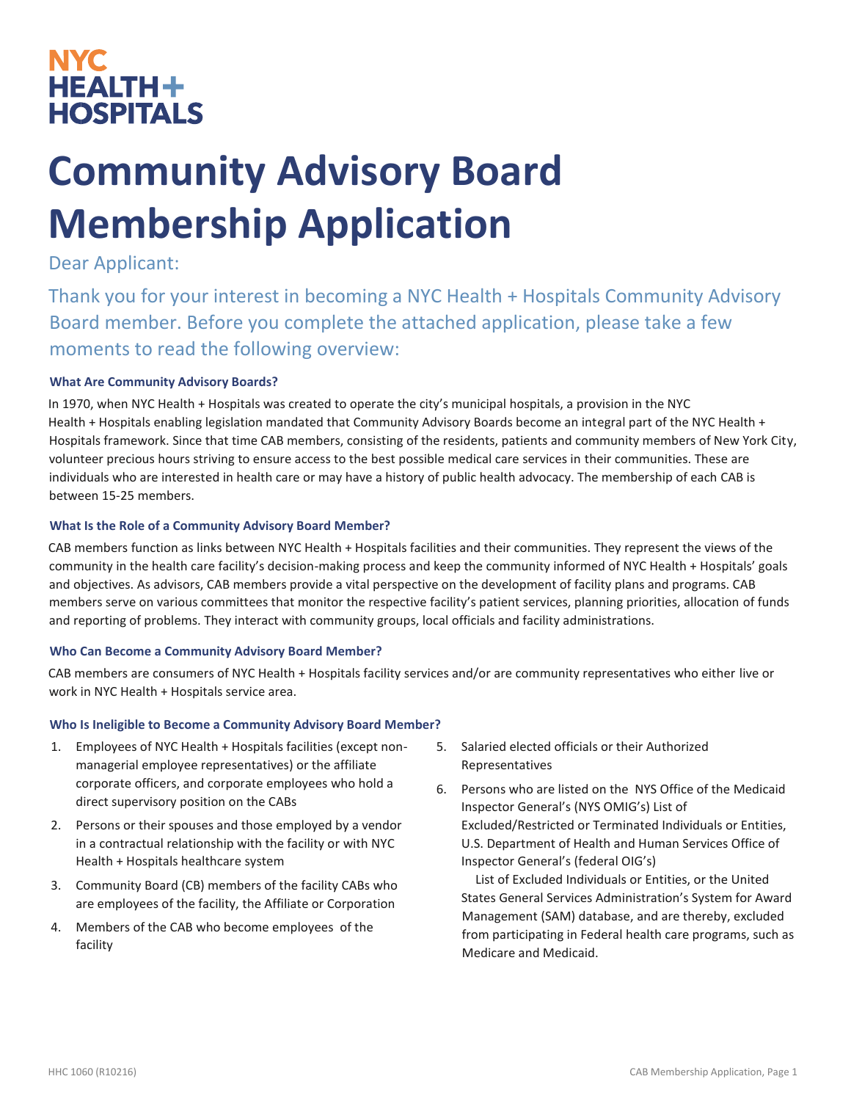## NYC **NYC HEALTH+ HOSPITALS**

# **Community Advisory Board Membership Application**

### Dear Applicant:

Thank you for your interest in becoming a NYC Health + Hospitals Community Advisory Board member. Before you complete the attached application, please take a few moments to read the following overview:

### **What Are Community Advisory Boards?**

In 1970, when NYC Health + Hospitals was created to operate the city's municipal hospitals, a provision in the NYC Health + Hospitals enabling legislation mandated that Community Advisory Boards become an integral part of the NYC Health + Hospitals framework. Since that time CAB members, consisting of the residents, patients and community members of New York City, volunteer precious hours striving to ensure access to the best possible medical care services in their communities. These are individuals who are interested in health care or may have a history of public health advocacy. The membership of each CAB is between 15-25 members.

### **What Is the Role of a Community Advisory Board Member?**

CAB members function as links between NYC Health + Hospitals facilities and their communities. They represent the views of the community in the health care facility's decision-making process and keep the community informed of NYC Health + Hospitals' goals and objectives. As advisors, CAB members provide a vital perspective on the development of facility plans and programs. CAB members serve on various committees that monitor the respective facility's patient services, planning priorities, allocation of funds and reporting of problems. They interact with community groups, local officials and facility administrations.

### **Who Can Become a Community Advisory Board Member?**

CAB members are consumers of NYC Health + Hospitals facility services and/or are community representatives who either live or work in NYC Health + Hospitals service area.

### **Who Is Ineligible to Become a Community Advisory Board Member?**

- 1. Employees of NYC Health + Hospitals facilities (except nonmanagerial employee representatives) or the affiliate corporate officers, and corporate employees who hold a direct supervisory position on the CABs
- 2. Persons or their spouses and those employed by a vendor in a contractual relationship with the facility or with NYC Health + Hospitals healthcare system
- 3. Community Board (CB) members of the facility CABs who are employees of the facility, the Affiliate or Corporation
- 4. Members of the CAB who become employees of the facility
- 5. Salaried elected officials or their Authorized Representatives
- 6. Persons who are listed on the NYS Office of the Medicaid Inspector General's (NYS OMIG's) List of Excluded/Restricted or Terminated Individuals or Entities, U.S. Department of Health and Human Services Office of Inspector General's (federal OIG's)

List of Excluded Individuals or Entities, or the United States General Services Administration's System for Award Management (SAM) database, and are thereby, excluded from participating in Federal health care programs, such as Medicare and Medicaid.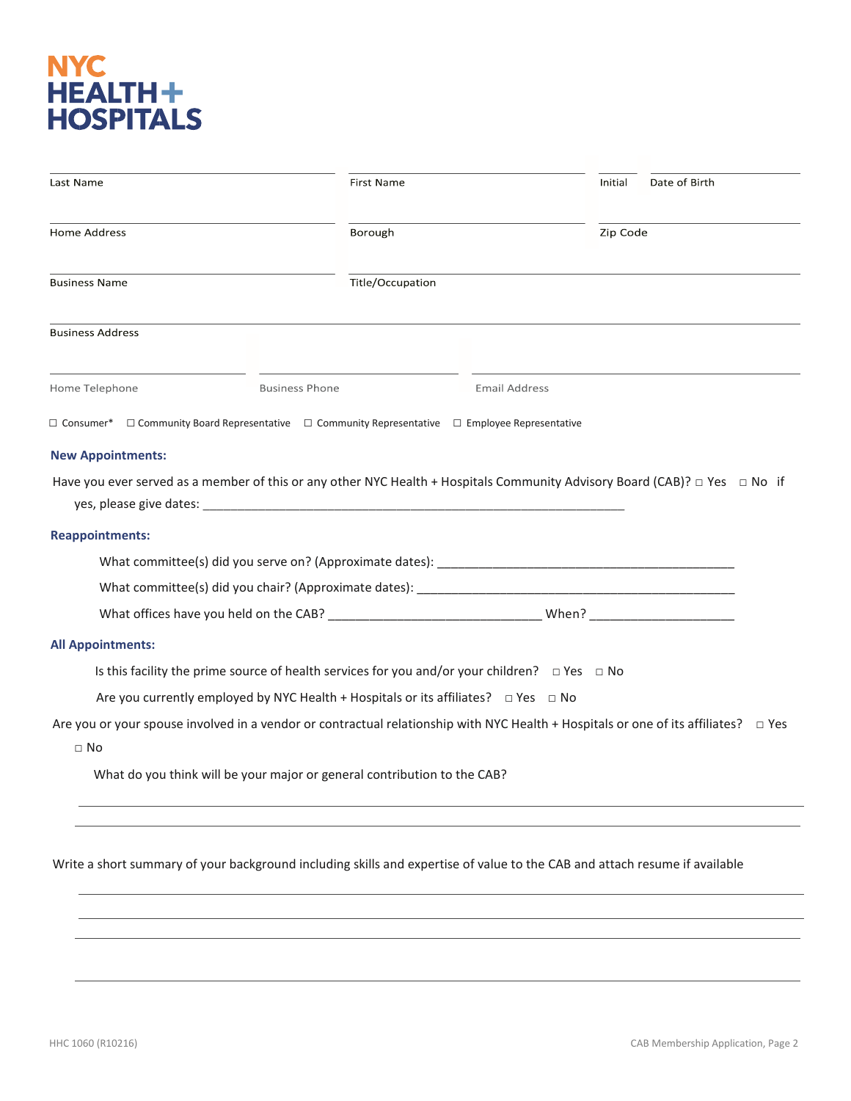# NYC<br>HEALTH+<br>HOSPITALS

|                                                    | First Name                                                                                                                               | Initial              | Date of Birth |  |
|----------------------------------------------------|------------------------------------------------------------------------------------------------------------------------------------------|----------------------|---------------|--|
| <b>Home Address</b>                                | Borough                                                                                                                                  | Zip Code             |               |  |
| <b>Business Name</b>                               | Title/Occupation                                                                                                                         |                      |               |  |
| <b>Business Address</b>                            |                                                                                                                                          |                      |               |  |
| Home Telephone                                     | <b>Business Phone</b>                                                                                                                    | <b>Email Address</b> |               |  |
| □ Consumer*                                        | $\Box$ Community Board Representative $\Box$ Community Representative $\Box$ Employee Representative                                     |                      |               |  |
| <b>New Appointments:</b>                           |                                                                                                                                          |                      |               |  |
|                                                    | Have you ever served as a member of this or any other NYC Health + Hospitals Community Advisory Board (CAB)? $\Box$ Yes $\Box$ No if     |                      |               |  |
|                                                    |                                                                                                                                          |                      |               |  |
|                                                    |                                                                                                                                          |                      |               |  |
|                                                    |                                                                                                                                          |                      |               |  |
|                                                    |                                                                                                                                          |                      |               |  |
|                                                    |                                                                                                                                          |                      |               |  |
|                                                    |                                                                                                                                          |                      |               |  |
|                                                    |                                                                                                                                          |                      |               |  |
|                                                    |                                                                                                                                          |                      |               |  |
|                                                    | Is this facility the prime source of health services for you and/or your children? $\Box$ Yes $\Box$ No                                  |                      |               |  |
|                                                    | Are you currently employed by NYC Health + Hospitals or its affiliates? $\Box$ Yes $\Box$ No                                             |                      |               |  |
| $\Box$ No                                          | Are you or your spouse involved in a vendor or contractual relationship with NYC Health + Hospitals or one of its affiliates? $\Box$ Yes |                      |               |  |
| <b>Reappointments:</b><br><b>All Appointments:</b> | What do you think will be your major or general contribution to the CAB?                                                                 |                      |               |  |
|                                                    |                                                                                                                                          |                      |               |  |
|                                                    |                                                                                                                                          |                      |               |  |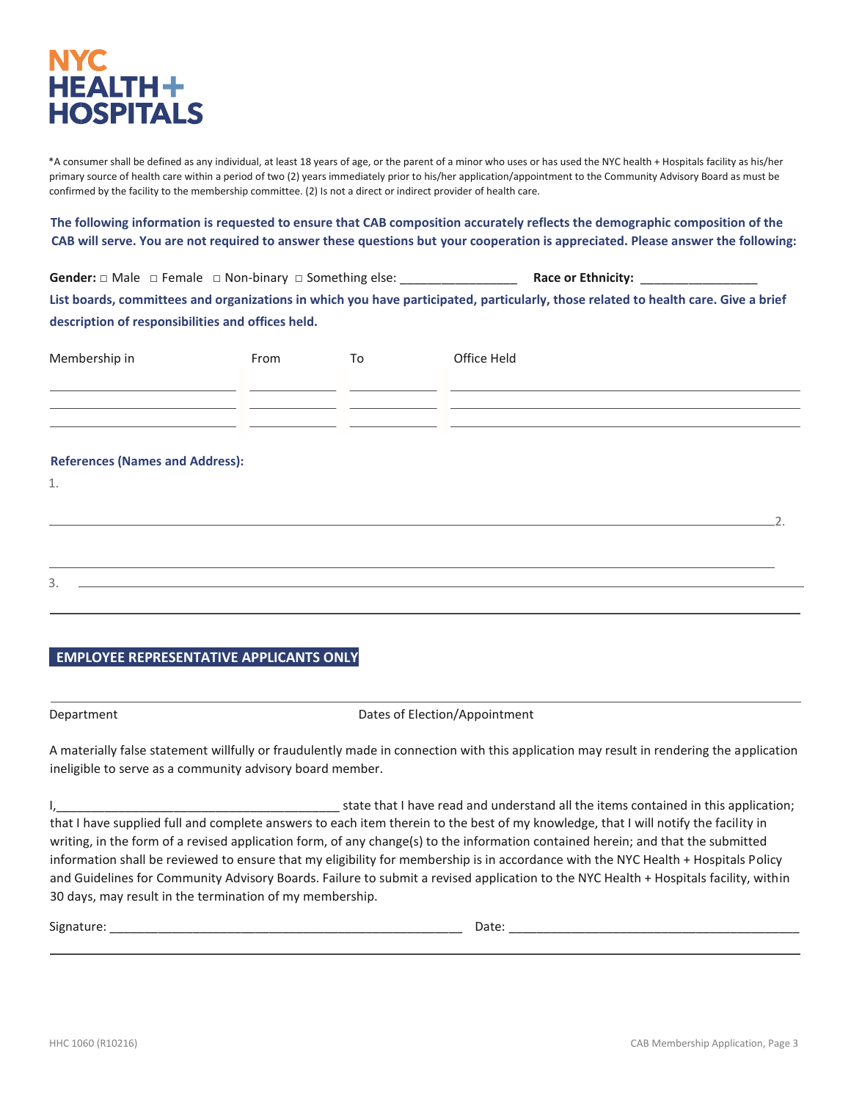

\*A consumer shall be defined as any individual, at least 18 years of age, or the parent of a minor who uses or has used the NYC health + Hospitals facility as his/her primary source of health care within a period of two (2) years immediately prior to his/her application/appointment to the Community Advisory Board as must be confirmed by the facility to the membership committee. (2) Is not a direct or indirect provider of health care.

**The following information is requested to ensure that CAB composition accurately reflects the demographic composition of the CAB will serve. You are not required to answer these questions but your cooperation is appreciated. Please answer the following:**

Gender: □ Male □ Female □ Non-binary □ Something else: **example and all actions Race or Ethnicity: List boards, committees and organizations in which you have participated, particularly, those related to health care. Give a brief description of responsibilities and offices held.**

| Membership in                                              | From | To | Office Held |  |
|------------------------------------------------------------|------|----|-------------|--|
|                                                            |      |    |             |  |
| <u> 1989 - Johann Barn, amerikansk politiker (d. 1989)</u> |      |    |             |  |
| <b>References (Names and Address):</b>                     |      |    |             |  |
| $1.$                                                       |      |    |             |  |
|                                                            |      |    |             |  |
|                                                            |      |    |             |  |
| 3.                                                         |      |    |             |  |

### **EMPLOYEE REPRESENTATIVE APPLICANTS ONLY**

Department Dates of Election/Appointment

A materially false statement willfully or fraudulently made in connection with this application may result in rendering the application ineligible to serve as a community advisory board member.

I, the state that I have read and understand all the items contained in this application; that I have supplied full and complete answers to each item therein to the best of my knowledge, that I will notify the facility in writing, in the form of a revised application form, of any change(s) to the information contained herein; and that the submitted information shall be reviewed to ensure that my eligibility for membership is in accordance with the NYC Health + Hospitals Policy and Guidelines for Community Advisory Boards. Failure to submit a revised application to the NYC Health + Hospitals facility, within 30 days, may result in the termination of my membership.

| ____<br>_____ | Signati | $\cdots$<br>Ddlt. |
|---------------|---------|-------------------|
|---------------|---------|-------------------|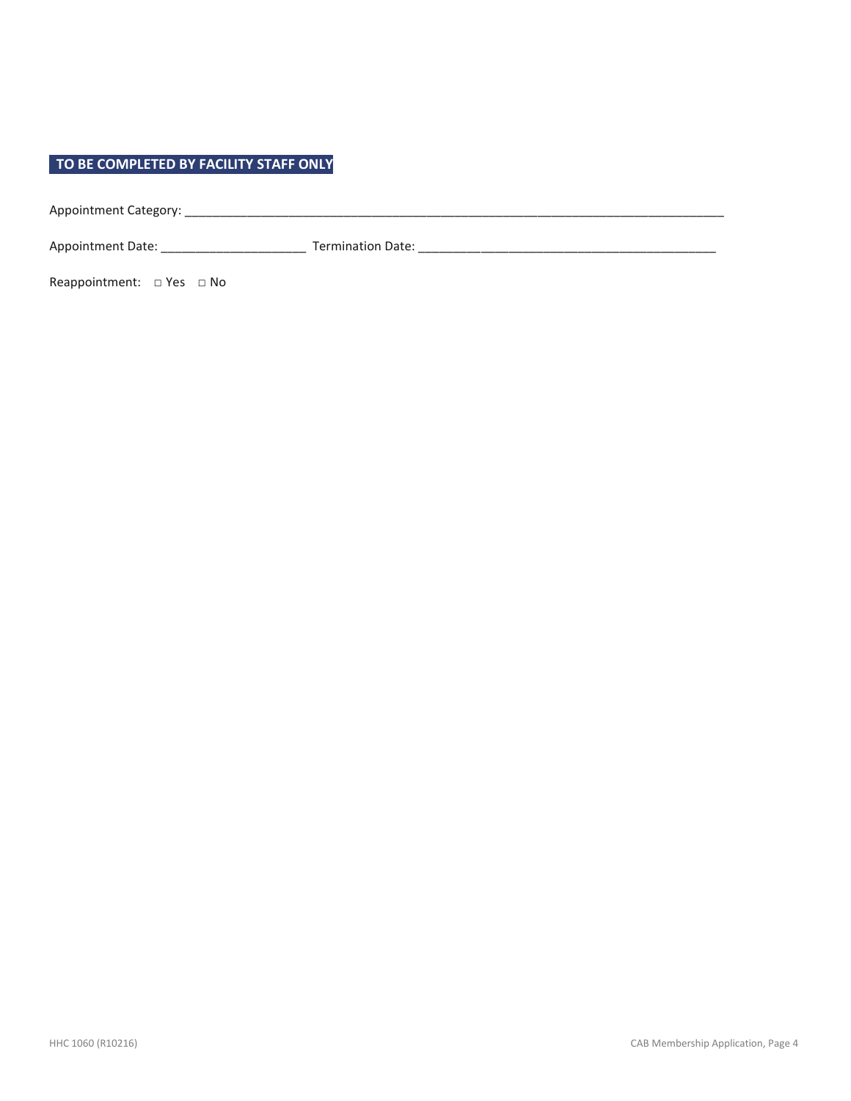### **TO BE COMPLETED BY FACILITY STAFF ONLY**

Appointment Category: \_\_\_\_\_\_\_\_\_\_\_\_\_\_\_\_\_\_\_\_\_\_\_\_\_\_\_\_\_\_\_\_\_\_\_\_\_\_\_\_\_\_\_\_\_\_\_\_\_\_\_\_\_\_\_\_\_\_\_\_\_\_\_\_\_\_\_\_\_\_\_\_\_\_\_\_\_\_

Appointment Date: \_\_\_\_\_\_\_\_\_\_\_\_\_\_\_\_\_\_\_\_\_ Termination Date: \_\_\_\_\_\_\_\_\_\_\_\_\_\_\_\_\_\_\_\_\_\_\_\_\_\_\_\_\_\_\_\_\_\_\_\_\_\_\_\_\_\_\_

Reappointment: □ Yes □ No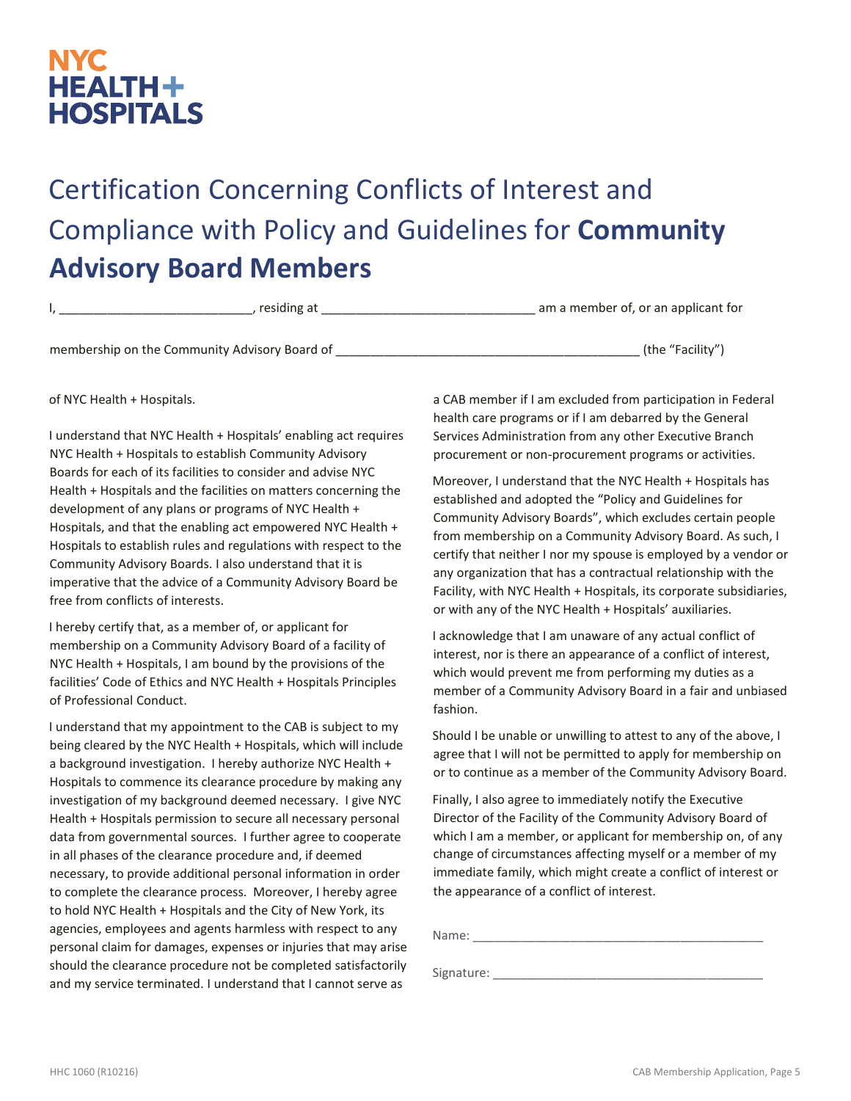### **NYC HEALTH+ HOSPITALS**

# Certification Concerning Conflicts of Interest and Compliance with Policy and Guidelines for **Community Advisory Board Members**

| esiding f | am a member of, or an applicant for<br>___ |
|-----------|--------------------------------------------|
|           |                                            |

membership on the Community Advisory Board of \_\_\_\_\_\_\_\_\_\_\_\_\_\_\_\_\_\_\_\_\_\_\_\_\_\_\_\_\_\_\_\_\_\_\_\_\_\_\_\_\_\_\_\_ (the "Facility")

of NYC Health + Hospitals.

I understand that NYC Health + Hospitals' enabling act requires NYC Health + Hospitals to establish Community Advisory Boards for each of its facilities to consider and advise NYC Health + Hospitals and the facilities on matters concerning the development of any plans or programs of NYC Health + Hospitals, and that the enabling act empowered NYC Health + Hospitals to establish rules and regulations with respect to the Community Advisory Boards. I also understand that it is imperative that the advice of a Community Advisory Board be free from conflicts of interests.

I hereby certify that, as a member of, or applicant for membership on a Community Advisory Board of a facility of NYC Health + Hospitals, I am bound by the provisions of the facilities' Code of Ethics and NYC Health + Hospitals Principles of Professional Conduct.

I understand that my appointment to the CAB is subject to my being cleared by the NYC Health + Hospitals, which will include a background investigation. I hereby authorize NYC Health + Hospitals to commence its clearance procedure by making any investigation of my background deemed necessary. I give NYC Health + Hospitals permission to secure all necessary personal data from governmental sources. I further agree to cooperate in all phases of the clearance procedure and, if deemed necessary, to provide additional personal information in order to complete the clearance process. Moreover, I hereby agree to hold NYC Health + Hospitals and the City of New York, its agencies, employees and agents harmless with respect to any personal claim for damages, expenses or injuries that may arise should the clearance procedure not be completed satisfactorily and my service terminated. I understand that I cannot serve as

a CAB member if I am excluded from participation in Federal health care programs or if I am debarred by the General Services Administration from any other Executive Branch procurement or non-procurement programs or activities.

Moreover, I understand that the NYC Health + Hospitals has established and adopted the "Policy and Guidelines for Community Advisory Boards", which excludes certain people from membership on a Community Advisory Board. As such, I certify that neither I nor my spouse is employed by a vendor or any organization that has a contractual relationship with the Facility, with NYC Health + Hospitals, its corporate subsidiaries, or with any of the NYC Health + Hospitals' auxiliaries.

I acknowledge that I am unaware of any actual conflict of interest, nor is there an appearance of a conflict of interest, which would prevent me from performing my duties as a member of a Community Advisory Board in a fair and unbiased fashion.

Should I be unable or unwilling to attest to any of the above, I agree that I will not be permitted to apply for membership on or to continue as a member of the Community Advisory Board.

Finally, I also agree to immediately notify the Executive Director of the Facility of the Community Advisory Board of which I am a member, or applicant for membership on, of any change of circumstances affecting myself or a member of my immediate family, which might create a conflict of interest or the appearance of a conflict of interest.

Name:

Signature: \_\_\_\_\_\_\_\_\_\_\_\_\_\_\_\_\_\_\_\_\_\_\_\_\_\_\_\_\_\_\_\_\_\_\_\_\_\_\_